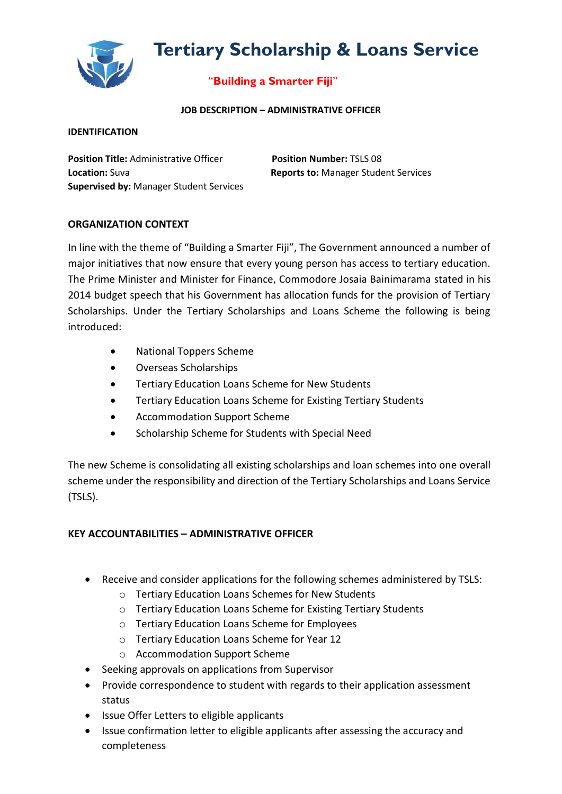

# **Tertiary Scholarship & Loans Service**

## "**Building a Smarter Fiji**"

#### **JOB DESCRIPTION – ADMINISTRATIVE OFFICER**

#### **IDENTIFICATION**

**Position Title:** Administrative Officer **Position Number:** TSLS 08 **Location:** Suva **Reports to:** Manager Student Services **Supervised by:** Manager Student Services

### **ORGANIZATION CONTEXT**

In line with the theme of "Building a Smarter Fiji", The Government announced a number of major initiatives that now ensure that every young person has access to tertiary education. The Prime Minister and Minister for Finance, Commodore Josaia Bainimarama stated in his 2014 budget speech that his Government has allocation funds for the provision of Tertiary Scholarships. Under the Tertiary Scholarships and Loans Scheme the following is being introduced:

- National Toppers Scheme
- Overseas Scholarships
- Tertiary Education Loans Scheme for New Students
- Tertiary Education Loans Scheme for Existing Tertiary Students
- Accommodation Support Scheme
- Scholarship Scheme for Students with Special Need

The new Scheme is consolidating all existing scholarships and loan schemes into one overall scheme under the responsibility and direction of the Tertiary Scholarships and Loans Service (TSLS).

## **KEY ACCOUNTABILITIES – ADMINISTRATIVE OFFICER**

- Receive and consider applications for the following schemes administered by TSLS:
	- o Tertiary Education Loans Schemes for New Students
	- o Tertiary Education Loans Scheme for Existing Tertiary Students
	- o Tertiary Education Loans Scheme for Employees
	- o Tertiary Education Loans Scheme for Year 12
	- o Accommodation Support Scheme
- Seeking approvals on applications from Supervisor
- Provide correspondence to student with regards to their application assessment status
- Issue Offer Letters to eligible applicants
- Issue confirmation letter to eligible applicants after assessing the accuracy and completeness